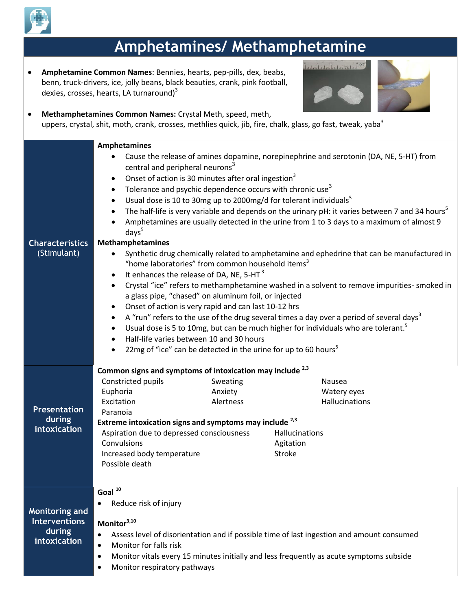

## **Amphetamines/ Methamphetamine**

 **Amphetamine Common Names**: Bennies, hearts, pep-pills, dex, beabs, benn, truck-drivers, ice, jolly beans, black beauties, crank, pink football, dexies, crosses, hearts, LA turnaround $3<sup>3</sup>$ 





 **Methamphetamines Common Names:** Crystal Meth, speed, meth, uppers, crystal, shit, moth, crank, crosses, methlies quick, jib, fire, chalk, glass, go fast, tweak, yaba $3$ **Characteristics** (Stimulant) **Amphetamines** Cause the release of amines dopamine, norepinephrine and serotonin (DA, NE, 5-HT) from central and peripheral neurons<sup>3</sup> Onset of action is 30 minutes after oral ingestion<sup>3</sup> • Tolerance and psychic dependence occurs with chronic use<sup>3</sup> Usual dose is 10 to 30mg up to 2000mg/d for tolerant individuals<sup>5</sup> The half-life is very variable and depends on the urinary pH: it varies between 7 and 34 hours<sup>5</sup> Amphetamines are usually detected in the urine from 1 to 3 days to a maximum of almost 9  $days<sup>5</sup>$ **Methamphetamines**  Synthetic drug chemically related to amphetamine and ephedrine that can be manufactured in "home laboratories" from common household items $3$ It enhances the release of DA, NE, 5-HT $^3$  Crystal "ice" refers to methamphetamine washed in a solvent to remove impurities- smoked in a glass pipe, "chased" on aluminum foil, or injected Onset of action is very rapid and can last 10-12 hrs A "run" refers to the use of the drug several times a day over a period of several days<sup>3</sup> Usual dose is 5 to 10mg, but can be much higher for individuals who are tolerant.<sup>5</sup> Half-life varies between 10 and 30 hours 22mg of "ice" can be detected in the urine for up to 60 hours<sup>5</sup> **Presentation during intoxication Common signs and symptoms of intoxication may include 2,3** Constricted pupils **Sweating Constricted pupils** Sweating Euphoria **Anxiety** Anxiety **Watery eyes** Excitation **Alexander Alexander Alexander Accident Accident** Hallucinations Paranoia **Extreme intoxication signs and symptoms may include 2,3** Aspiration due to depressed consciousness Hallucinations Convulsions Increased body temperature Possible death Agitation Stroke

## **Goal <sup>10</sup>**

**Monitoring and Interventions during intoxication**

Reduce risk of injury

**Monitor3,10**

- Assess level of disorientation and if possible time of last ingestion and amount consumed
- Monitor for falls risk
- Monitor vitals every 15 minutes initially and less frequently as acute symptoms subside
- Monitor respiratory pathways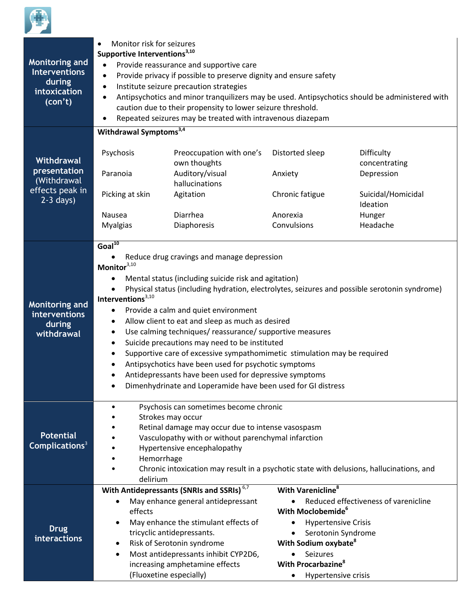

| <b>Monitoring and</b><br><b>Interventions</b><br>during<br>intoxication<br>(con't) | Monitor risk for seizures<br>Supportive Interventions <sup>3,10</sup><br>Provide reassurance and supportive care<br>$\bullet$<br>Provide privacy if possible to preserve dignity and ensure safety<br>$\bullet$<br>Institute seizure precaution strategies<br>$\bullet$<br>Antipsychotics and minor tranquilizers may be used. Antipsychotics should be administered with<br>caution due to their propensity to lower seizure threshold.<br>Repeated seizures may be treated with intravenous diazepam                                                                                                                                                                                                                                                                                                                         |                                                                                                                                                                                                                                                                                                      |                                                                                                                                                                                                                             |                                      |  |
|------------------------------------------------------------------------------------|--------------------------------------------------------------------------------------------------------------------------------------------------------------------------------------------------------------------------------------------------------------------------------------------------------------------------------------------------------------------------------------------------------------------------------------------------------------------------------------------------------------------------------------------------------------------------------------------------------------------------------------------------------------------------------------------------------------------------------------------------------------------------------------------------------------------------------|------------------------------------------------------------------------------------------------------------------------------------------------------------------------------------------------------------------------------------------------------------------------------------------------------|-----------------------------------------------------------------------------------------------------------------------------------------------------------------------------------------------------------------------------|--------------------------------------|--|
|                                                                                    | Withdrawal Symptoms <sup>3,4</sup>                                                                                                                                                                                                                                                                                                                                                                                                                                                                                                                                                                                                                                                                                                                                                                                             |                                                                                                                                                                                                                                                                                                      |                                                                                                                                                                                                                             |                                      |  |
| Withdrawal<br>presentation<br>(Withdrawal<br>effects peak in<br>$2-3$ days)        | Psychosis                                                                                                                                                                                                                                                                                                                                                                                                                                                                                                                                                                                                                                                                                                                                                                                                                      | Preoccupation with one's<br>own thoughts                                                                                                                                                                                                                                                             | Distorted sleep                                                                                                                                                                                                             | Difficulty<br>concentrating          |  |
|                                                                                    | Paranoia                                                                                                                                                                                                                                                                                                                                                                                                                                                                                                                                                                                                                                                                                                                                                                                                                       | Auditory/visual<br>hallucinations                                                                                                                                                                                                                                                                    | Anxiety                                                                                                                                                                                                                     | Depression                           |  |
|                                                                                    | Picking at skin                                                                                                                                                                                                                                                                                                                                                                                                                                                                                                                                                                                                                                                                                                                                                                                                                | Agitation                                                                                                                                                                                                                                                                                            | Chronic fatigue                                                                                                                                                                                                             | Suicidal/Homicidal<br>Ideation       |  |
|                                                                                    | <b>Nausea</b>                                                                                                                                                                                                                                                                                                                                                                                                                                                                                                                                                                                                                                                                                                                                                                                                                  | Diarrhea                                                                                                                                                                                                                                                                                             | Anorexia                                                                                                                                                                                                                    | Hunger                               |  |
|                                                                                    | <b>Myalgias</b>                                                                                                                                                                                                                                                                                                                                                                                                                                                                                                                                                                                                                                                                                                                                                                                                                | Diaphoresis                                                                                                                                                                                                                                                                                          | Convulsions                                                                                                                                                                                                                 | Headache                             |  |
| <b>Monitoring and</b><br><b>interventions</b><br>during<br>withdrawal              | $Goal^{10}$<br>Reduce drug cravings and manage depression<br>Monitor <sup>3,10</sup><br>Mental status (including suicide risk and agitation)<br>$\bullet$<br>Physical status (including hydration, electrolytes, seizures and possible serotonin syndrome)<br>Interventions <sup>3,10</sup><br>Provide a calm and quiet environment<br>٠<br>Allow client to eat and sleep as much as desired<br>$\bullet$<br>Use calming techniques/reassurance/supportive measures<br>٠<br>Suicide precautions may need to be instituted<br>$\bullet$<br>Supportive care of excessive sympathomimetic stimulation may be required<br>$\bullet$<br>Antipsychotics have been used for psychotic symptoms<br>$\bullet$<br>Antidepressants have been used for depressive symptoms<br>Dimenhydrinate and Loperamide have been used for GI distress |                                                                                                                                                                                                                                                                                                      |                                                                                                                                                                                                                             |                                      |  |
| <b>Potential</b><br>Complications <sup>3</sup>                                     | Psychosis can sometimes become chronic<br>Strokes may occur<br>Retinal damage may occur due to intense vasospasm<br>Vasculopathy with or without parenchymal infarction<br>Hypertensive encephalopathy<br>Hemorrhage<br>Chronic intoxication may result in a psychotic state with delusions, hallucinations, and<br>delirium                                                                                                                                                                                                                                                                                                                                                                                                                                                                                                   |                                                                                                                                                                                                                                                                                                      |                                                                                                                                                                                                                             |                                      |  |
| <b>Drug</b><br>interactions                                                        | effects<br>$\bullet$<br>$\bullet$                                                                                                                                                                                                                                                                                                                                                                                                                                                                                                                                                                                                                                                                                                                                                                                              | With Antidepressants (SNRIs and SSRIs) <sup>6,7</sup><br>May enhance general antidepressant<br>May enhance the stimulant effects of<br>tricyclic antidepressants.<br>Risk of Serotonin syndrome<br>Most antidepressants inhibit CYP2D6,<br>increasing amphetamine effects<br>(Fluoxetine especially) | With Varenicline <sup>8</sup><br>With Moclobemide <sup>6</sup><br><b>Hypertensive Crisis</b><br>Serotonin Syndrome<br>With Sodium oxybate <sup>8</sup><br>Seizures<br>With Procarbazine <sup>8</sup><br>Hypertensive crisis | Reduced effectiveness of varenicline |  |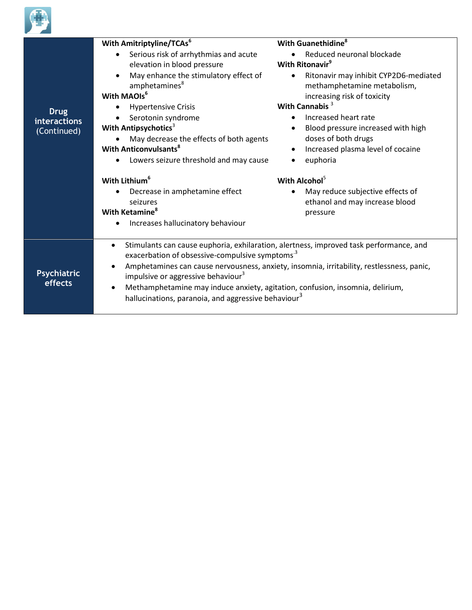

| <b>Drug</b><br><b>interactions</b><br>(Continued) | With Amitriptyline/TCAs <sup>6</sup><br>Serious risk of arrhythmias and acute<br>$\bullet$<br>elevation in blood pressure<br>May enhance the stimulatory effect of<br>$\bullet$<br>amphetamines <sup>8</sup><br>With MAOIs <sup>6</sup><br><b>Hypertensive Crisis</b><br>$\bullet$<br>Serotonin syndrome<br>With Antipsychotics <sup>3</sup><br>May decrease the effects of both agents<br><b>With Anticonvulsants<sup>8</sup></b><br>Lowers seizure threshold and may cause<br>With Lithium <sup>6</sup><br>Decrease in amphetamine effect<br>$\bullet$<br>seizures<br>With Ketamine <sup>8</sup><br>Increases hallucinatory behaviour | With Guanethidine <sup>8</sup><br>Reduced neuronal blockade<br>With Ritonavir <sup>9</sup><br>Ritonavir may inhibit CYP2D6-mediated<br>$\bullet$<br>methamphetamine metabolism,<br>increasing risk of toxicity<br>With Cannabis <sup>3</sup><br>Increased heart rate<br>Blood pressure increased with high<br>$\bullet$<br>doses of both drugs<br>Increased plasma level of cocaine<br>$\bullet$<br>euphoria<br>With Alcohol <sup>5</sup><br>May reduce subjective effects of<br>ethanol and may increase blood<br>pressure |  |
|---------------------------------------------------|-----------------------------------------------------------------------------------------------------------------------------------------------------------------------------------------------------------------------------------------------------------------------------------------------------------------------------------------------------------------------------------------------------------------------------------------------------------------------------------------------------------------------------------------------------------------------------------------------------------------------------------------|-----------------------------------------------------------------------------------------------------------------------------------------------------------------------------------------------------------------------------------------------------------------------------------------------------------------------------------------------------------------------------------------------------------------------------------------------------------------------------------------------------------------------------|--|
| <b>Psychiatric</b><br>effects                     | Stimulants can cause euphoria, exhilaration, alertness, improved task performance, and<br>$\bullet$<br>exacerbation of obsessive-compulsive symptoms <sup>3</sup><br>Amphetamines can cause nervousness, anxiety, insomnia, irritability, restlessness, panic,<br>$\bullet$<br>impulsive or aggressive behaviour <sup>3</sup><br>Methamphetamine may induce anxiety, agitation, confusion, insomnia, delirium,<br>٠<br>hallucinations, paranoia, and aggressive behaviour <sup>3</sup>                                                                                                                                                  |                                                                                                                                                                                                                                                                                                                                                                                                                                                                                                                             |  |